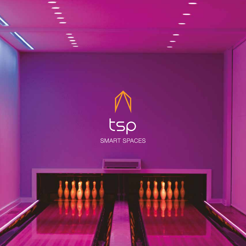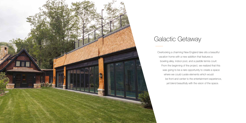Overlooking a charming New England lake sits a beautiful vacation home with a new addition that features a bowling alley, indoor pool, and a paddle tennis court. From the beginning of the project, we realized that this was going to be a rare opportunity to create a space where we could curate elements which would be front and center to the entertainment experience, yet blend beautifully with the vision of the space.



# Galactic Getaway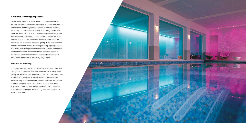### **A futuristic technology experience**

To make this addition work as a hub of family entertainment, we took the vision of the interior designer and conceptualized a space where technology would be both visible and invisible, depending on it's function. The original AV design had visible speakers and traditional TVs for the bowling alley displays. We researched across dozens of vendors to find unique solutions for each space, from a subwoofer installed underneath the paddle court's surface to recessed lighting in the pool area that can emulate ocean waves. Featuring stunning lighting scenes from Ketra, invisible speaker solutions from Amina, and custom shades from Lutron, this entertainment complex creates a visually and functionally seamless technology experience of which most people could previously only dream.

## **Free rein on creativity**

For this project, we needed to create a space that is more than just lights and speakers. The space needed to be easily used by anyone and cater to a multitude of users and situations. The homeowners have prior experience with home automation, and were very open-minded and allowed us to flex our creative powers throughout the entire process. Not only was this a truly perfect client but also a great working collaboration with both the interior designer and our long time partner, custom home builder KVC.

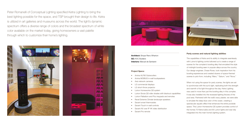Peter Romanelli of Conceptual Lighting specified Ketra Lighting to bring the best lighting possible for the space, and TSP brought their design to life. Ketra is utilized in art galleries and museums across the world. The light's dynamic spectrum offers a diverse range of colors and the broadest spectrum of white color available on the market today, giving homeowners a vast palette through which to customize their home's lighting.







The capabilities of Ketra and its ability to integrate seamlessly with Lutron's lighting control allowed us to create a range of scenes for the complex's bowling alley that emulated the style of midnight bowling seen in popular alleys across the country. Our design engineer, Chase Rowe, took inspiration from his bowling experiences and created dozens of space-themed scenes to pick from, including "Mars," "Saturn," and "Nova."

### **Party scenes and natural lighting abilities**

**Architect:** Shope Reno Wharton **GC:** KVC Builders **Interiors: Manuel de Santaren** 

> When not using the space for party scenes, the lights are set to synchronize with the sun's light, replicating both the strength and warmth of its light throughout the day. Ketra Lighting was used in more than just the bowling alley in this complex. It was also installed into the recessed lighting fixtures of the pool area. Partnered with the wall's wavy plaster, we were able to emulate the deep blue color of the ocean, creating a spectacular aquatic effect that enhances the entire poolside space. This Lutron Homeworks QS system provides control of the homes 70 Ketra bulbs and 90 Lutron lights and was fully integrated into the main home's lighting system.

#### **Project Specs:**

- Amina ALF80 Subwoofers
- Amina MOBIUS in-wall loudspeakers
- Axis network cameras
- LG commercial displays
- LG short-throw projector
- Lutron Homeworks QS system
- Lutron Sivoia QS roller shades with blackout capabilities
- Lutron Palladiom and Pico keypads and remotes
- Revel Extreme Climate landscape speakers
- Savant smart thermostats
- Savant Touch in-wall controls
- Savant AV over IP 4K video distribution
- Savant Pro remote

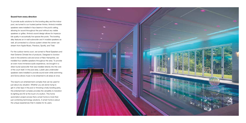### **Sound from every direction**

To provide audio solutions for the bowling alley and the indoor pool, we turned to our trusted partner Amina. Amina's invisible speakers were installed in faux beams in the pool's ceiling, allowing for sound throughout the pool without any visible speakers or grilles. Amina's sound design allows for impeccable quality in acoustically live spaces like pools. The bowling alley features an in-wall subwoofer and 4 invisible speakers as well, all connected to a Sonos system where the owner can stream from Apple Music, Pandora, Spotify, and Tidal.

For the outdoor tennis court, we turned to Revel Speakers and their Extreme Climate line of products. Designed to function even in the extreme cold and snow of New Hampshire, we installed four satellite speakers throughout the area. To provide an even more immersive audio experience, we brought in a direct burial subwoofer that was installed directly into the core of the court itself. In the pool area, Lubell Labs underwater speakers were installed to provide sound even while swimming and Sonos allows music to be streamed to all areas at once.

The result is an entertainment complex that can be used for just about any situation. Whether you are alone trying to get in a few laps in the pool or throwing a lively bowling party, this entertainment complex provides the versatility to transition its lighting and AV at the touch of a button. This home automation project proves that a smart home is more than just combining technology solutions. A smart home is about the unique experiences that it creates for its users.

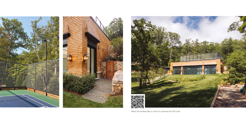





Watch the bowling alley in action by scanning this QR Code.